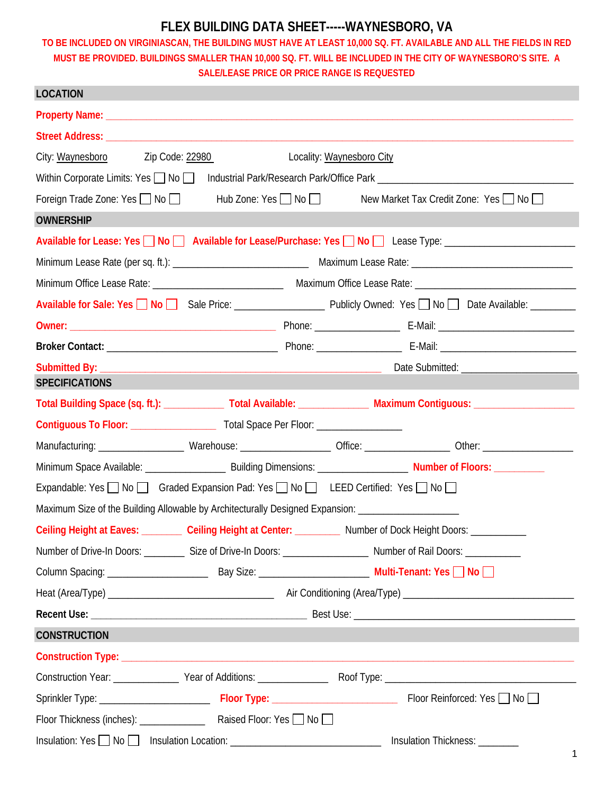## **FLEX BUILDING DATA SHEET-----WAYNESBORO, VA**

**TO BE INCLUDED ON VIRGINIASCAN, THE BUILDING MUST HAVE AT LEAST 10,000 SQ. FT. AVAILABLE AND ALL THE FIELDS IN RED MUST BE PROVIDED. BUILDINGS SMALLER THAN 10,000 SQ. FT. WILL BE INCLUDED IN THE CITY OF WAYNESBORO'S SITE. A SALE/LEASE PRICE OR PRICE RANGE IS REQUESTED**

| <b>LOCATION</b>                  |                                                                                                                  |                           |                                                                                                                                         |  |
|----------------------------------|------------------------------------------------------------------------------------------------------------------|---------------------------|-----------------------------------------------------------------------------------------------------------------------------------------|--|
|                                  |                                                                                                                  |                           |                                                                                                                                         |  |
|                                  |                                                                                                                  |                           |                                                                                                                                         |  |
| City: Waynesboro Zip Code: 22980 |                                                                                                                  | Locality: Waynesboro City |                                                                                                                                         |  |
|                                  |                                                                                                                  |                           |                                                                                                                                         |  |
|                                  | Foreign Trade Zone: Yes   No   Hub Zone: Yes   No   No                                                           |                           | New Market Tax Credit Zone: Yes $\Box$ No $\Box$                                                                                        |  |
| <b>OWNERSHIP</b>                 |                                                                                                                  |                           |                                                                                                                                         |  |
|                                  |                                                                                                                  |                           | Available for Lease: Yes No Available for Lease/Purchase: Yes No Lease Type: ______________________                                     |  |
|                                  |                                                                                                                  |                           |                                                                                                                                         |  |
|                                  |                                                                                                                  |                           |                                                                                                                                         |  |
|                                  |                                                                                                                  |                           |                                                                                                                                         |  |
|                                  |                                                                                                                  |                           |                                                                                                                                         |  |
|                                  |                                                                                                                  |                           |                                                                                                                                         |  |
|                                  |                                                                                                                  |                           |                                                                                                                                         |  |
| <b>SPECIFICATIONS</b>            |                                                                                                                  |                           |                                                                                                                                         |  |
|                                  |                                                                                                                  |                           | Total Building Space (sq. ft.): ________________ Total Available: ___________________ Maximum Contiguous: _____________________________ |  |
|                                  |                                                                                                                  |                           |                                                                                                                                         |  |
|                                  |                                                                                                                  |                           | Manufacturing: _________________________Warehouse: ________________________Office: _______________________Other: _____________________  |  |
|                                  |                                                                                                                  |                           |                                                                                                                                         |  |
|                                  | Expandable: Yes $\Box$ No $\Box$ Graded Expansion Pad: Yes $\Box$ No $\Box$ LEED Certified: Yes $\Box$ No $\Box$ |                           |                                                                                                                                         |  |
|                                  | Maximum Size of the Building Allowable by Architecturally Designed Expansion: _____________________              |                           |                                                                                                                                         |  |
|                                  |                                                                                                                  |                           | Ceiling Height at Eaves: Ceiling Height at Center: Number of Dock Height Doors: Number of Dock Height Doors:                            |  |
|                                  |                                                                                                                  |                           |                                                                                                                                         |  |
|                                  |                                                                                                                  |                           |                                                                                                                                         |  |
|                                  |                                                                                                                  |                           |                                                                                                                                         |  |
|                                  |                                                                                                                  |                           |                                                                                                                                         |  |
| <b>CONSTRUCTION</b>              |                                                                                                                  |                           |                                                                                                                                         |  |
|                                  |                                                                                                                  |                           |                                                                                                                                         |  |
|                                  |                                                                                                                  |                           |                                                                                                                                         |  |
|                                  |                                                                                                                  |                           |                                                                                                                                         |  |
|                                  |                                                                                                                  |                           |                                                                                                                                         |  |
|                                  |                                                                                                                  |                           |                                                                                                                                         |  |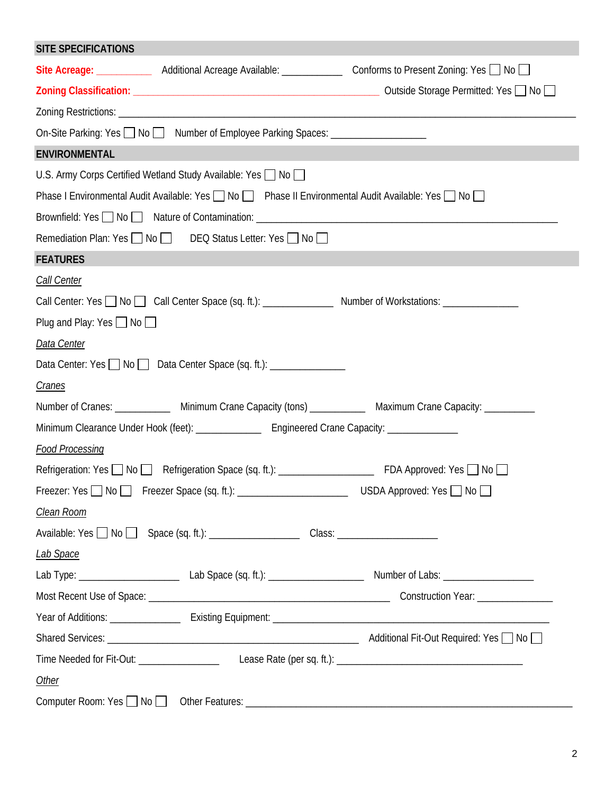| <b>SITE SPECIFICATIONS</b>                                                                                           |  |  |  |  |
|----------------------------------------------------------------------------------------------------------------------|--|--|--|--|
| Site Acreage: ______________ Additional Acreage Available: _______________ Conforms to Present Zoning: Yes $\Box$ No |  |  |  |  |
|                                                                                                                      |  |  |  |  |
|                                                                                                                      |  |  |  |  |
| On-Site Parking: Yes □ No □ Number of Employee Parking Spaces: ________________                                      |  |  |  |  |
| <b>ENVIRONMENTAL</b>                                                                                                 |  |  |  |  |
| U.S. Army Corps Certified Wetland Study Available: Yes $\Box$ No $\Box$                                              |  |  |  |  |
| Phase I Environmental Audit Available: Yes   No   Phase II Environmental Audit Available: Yes   No                   |  |  |  |  |
|                                                                                                                      |  |  |  |  |
| Remediation Plan: Yes   No   DEQ Status Letter: Yes   No                                                             |  |  |  |  |
| <b>FEATURES</b>                                                                                                      |  |  |  |  |
| <b>Call Center</b>                                                                                                   |  |  |  |  |
| Call Center: Yes No Call Center Space (sq. ft.): ________________ Number of Workstations: _______________            |  |  |  |  |
| Plug and Play: Yes $\Box$ No $\Box$                                                                                  |  |  |  |  |
| Data Center                                                                                                          |  |  |  |  |
| Data Center: Yes   No   Data Center Space (sq. ft.): ___________________________                                     |  |  |  |  |
| Cranes                                                                                                               |  |  |  |  |
| Number of Cranes: _______________ Minimum Crane Capacity (tons) _____________ Maximum Crane Capacity: __________     |  |  |  |  |
| Minimum Clearance Under Hook (feet): ___________________ Engineered Crane Capacity: _______________                  |  |  |  |  |
| <b>Food Processing</b>                                                                                               |  |  |  |  |
|                                                                                                                      |  |  |  |  |
|                                                                                                                      |  |  |  |  |
| Clean Room                                                                                                           |  |  |  |  |
|                                                                                                                      |  |  |  |  |
| Lab Space                                                                                                            |  |  |  |  |
|                                                                                                                      |  |  |  |  |
|                                                                                                                      |  |  |  |  |
|                                                                                                                      |  |  |  |  |
|                                                                                                                      |  |  |  |  |
|                                                                                                                      |  |  |  |  |
| <b>Other</b>                                                                                                         |  |  |  |  |
| Computer Room: Yes No State Teatures: Computer Computer Room: Yes No State Teatures:                                 |  |  |  |  |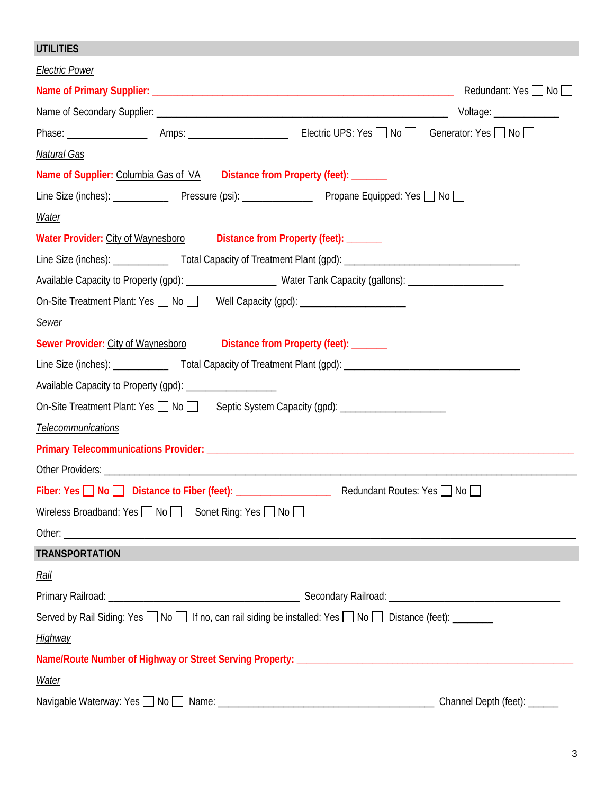## **UTILITIES**

| <b>Electric Power</b>                                                                                      |
|------------------------------------------------------------------------------------------------------------|
| Redundant: Yes □ No                                                                                        |
|                                                                                                            |
|                                                                                                            |
| <b>Natural Gas</b>                                                                                         |
| Name of Supplier: Columbia Gas of VA Distance from Property (feet): ______                                 |
| Line Size (inches): _______________ Pressure (psi): __________________ Propane Equipped: Yes □ No          |
| Water                                                                                                      |
| Water Provider: City of Waynesboro Distance from Property (feet): ______                                   |
|                                                                                                            |
|                                                                                                            |
| On-Site Treatment Plant: Yes   No   Well Capacity (gpd): _______________________                           |
| <b>Sewer</b>                                                                                               |
| Sewer Provider: City of Waynesboro Distance from Property (feet): ______                                   |
|                                                                                                            |
|                                                                                                            |
| On-Site Treatment Plant: Yes Mo Septic System Capacity (gpd): __________________                           |
| Telecommunications                                                                                         |
|                                                                                                            |
|                                                                                                            |
|                                                                                                            |
| Wireless Broadband: Yes   No   Sonet Ring: Yes   No                                                        |
|                                                                                                            |
| <b>TRANSPORTATION</b>                                                                                      |
| <u>Rail</u>                                                                                                |
|                                                                                                            |
| Served by Rail Siding: Yes □ No □ If no, can rail siding be installed: Yes □ No □ Distance (feet): _______ |
| Highway                                                                                                    |
|                                                                                                            |
| <b>Water</b>                                                                                               |
|                                                                                                            |